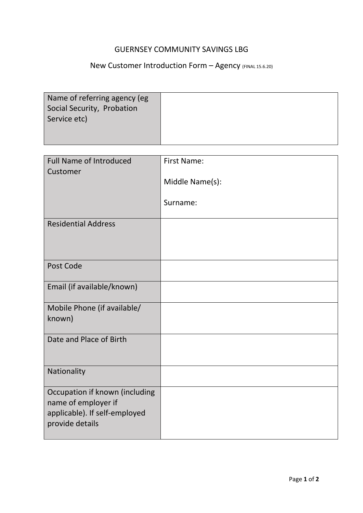## GUERNSEY COMMUNITY SAVINGS LBG

## New Customer Introduction Form - Agency (FINAL 15.6.20)

| Name of referring agency (eg |  |
|------------------------------|--|
| Social Security, Probation   |  |
| Service etc)                 |  |
|                              |  |

**Contract Contract Contract** 

| <b>Full Name of Introduced</b><br>Customer                                                                | <b>First Name:</b> |
|-----------------------------------------------------------------------------------------------------------|--------------------|
|                                                                                                           | Middle Name(s):    |
|                                                                                                           | Surname:           |
| <b>Residential Address</b>                                                                                |                    |
| Post Code                                                                                                 |                    |
| Email (if available/known)                                                                                |                    |
| Mobile Phone (if available/<br>known)                                                                     |                    |
| Date and Place of Birth                                                                                   |                    |
| Nationality                                                                                               |                    |
| Occupation if known (including<br>name of employer if<br>applicable). If self-employed<br>provide details |                    |